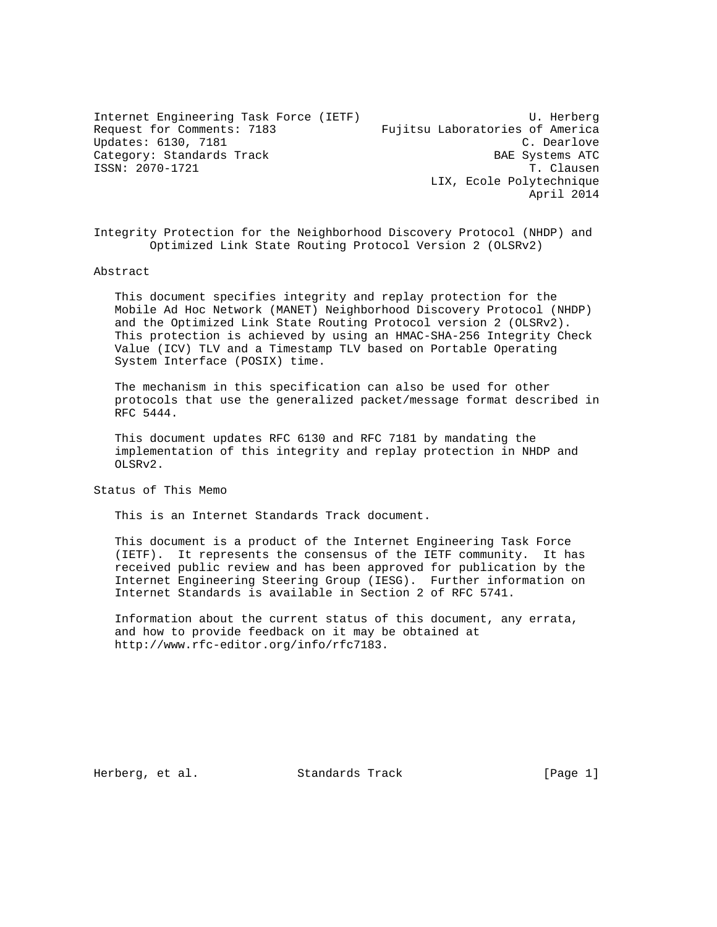Internet Engineering Task Force (IETF) U. Herberg Request for Comments: 7183 Fujitsu Laboratories of America Updates: 6130, 7181 C. Dearlove Category: Standards Track BAE Systems ATC ISSN: 2070-1721 T. Clausen LIX, Ecole Polytechnique April 2014

Integrity Protection for the Neighborhood Discovery Protocol (NHDP) and Optimized Link State Routing Protocol Version 2 (OLSRv2)

Abstract

 This document specifies integrity and replay protection for the Mobile Ad Hoc Network (MANET) Neighborhood Discovery Protocol (NHDP) and the Optimized Link State Routing Protocol version 2 (OLSRv2). This protection is achieved by using an HMAC-SHA-256 Integrity Check Value (ICV) TLV and a Timestamp TLV based on Portable Operating System Interface (POSIX) time.

 The mechanism in this specification can also be used for other protocols that use the generalized packet/message format described in RFC 5444.

 This document updates RFC 6130 and RFC 7181 by mandating the implementation of this integrity and replay protection in NHDP and OLSRv2.

Status of This Memo

This is an Internet Standards Track document.

 This document is a product of the Internet Engineering Task Force (IETF). It represents the consensus of the IETF community. It has received public review and has been approved for publication by the Internet Engineering Steering Group (IESG). Further information on Internet Standards is available in Section 2 of RFC 5741.

 Information about the current status of this document, any errata, and how to provide feedback on it may be obtained at http://www.rfc-editor.org/info/rfc7183.

Herberg, et al. Standards Track [Page 1]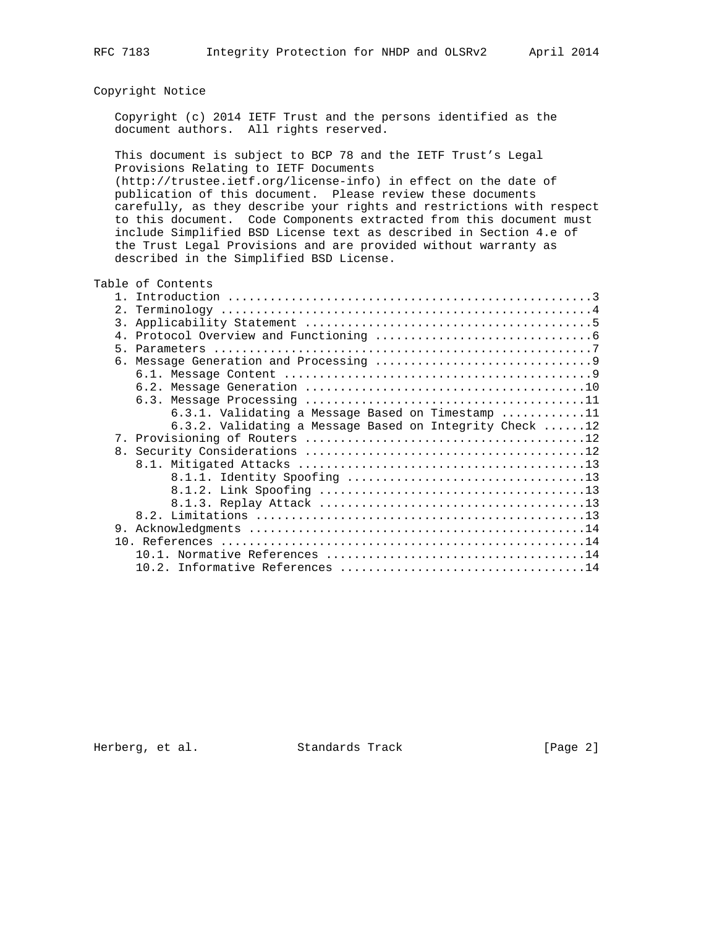# Copyright Notice

 Copyright (c) 2014 IETF Trust and the persons identified as the document authors. All rights reserved.

 This document is subject to BCP 78 and the IETF Trust's Legal Provisions Relating to IETF Documents (http://trustee.ietf.org/license-info) in effect on the date of publication of this document. Please review these documents carefully, as they describe your rights and restrictions with respect to this document. Code Components extracted from this document must include Simplified BSD License text as described in Section 4.e of the Trust Legal Provisions and are provided without warranty as described in the Simplified BSD License.

|  | Table of Contents                     |
|--|---------------------------------------|
|  | $1 \quad T_{n+2} \alpha^{n+1} \alpha$ |

| 2. |                                                                 |
|----|-----------------------------------------------------------------|
|    |                                                                 |
|    |                                                                 |
|    |                                                                 |
| б. |                                                                 |
|    |                                                                 |
|    |                                                                 |
|    |                                                                 |
|    | 6.3.1. Validating a Message Based on Timestamp 11               |
|    | 6.3.2. Validating a Message Based on Integrity Check $\dots$ 12 |
|    |                                                                 |
|    |                                                                 |
|    |                                                                 |
|    |                                                                 |
|    |                                                                 |
|    |                                                                 |
|    |                                                                 |
| 9. |                                                                 |
|    |                                                                 |
|    |                                                                 |
|    |                                                                 |

Herberg, et al. Standards Track [Page 2]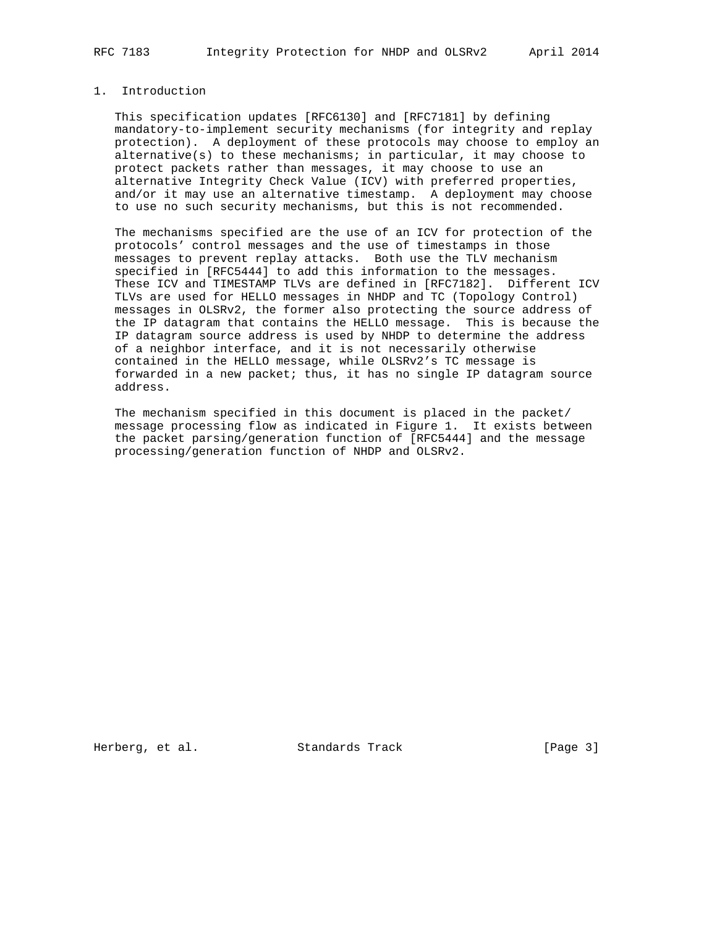# 1. Introduction

 This specification updates [RFC6130] and [RFC7181] by defining mandatory-to-implement security mechanisms (for integrity and replay protection). A deployment of these protocols may choose to employ an alternative(s) to these mechanisms; in particular, it may choose to protect packets rather than messages, it may choose to use an alternative Integrity Check Value (ICV) with preferred properties, and/or it may use an alternative timestamp. A deployment may choose to use no such security mechanisms, but this is not recommended.

 The mechanisms specified are the use of an ICV for protection of the protocols' control messages and the use of timestamps in those messages to prevent replay attacks. Both use the TLV mechanism specified in [RFC5444] to add this information to the messages. These ICV and TIMESTAMP TLVs are defined in [RFC7182]. Different ICV TLVs are used for HELLO messages in NHDP and TC (Topology Control) messages in OLSRv2, the former also protecting the source address of the IP datagram that contains the HELLO message. This is because the IP datagram source address is used by NHDP to determine the address of a neighbor interface, and it is not necessarily otherwise contained in the HELLO message, while OLSRv2's TC message is forwarded in a new packet; thus, it has no single IP datagram source address.

 The mechanism specified in this document is placed in the packet/ message processing flow as indicated in Figure 1. It exists between the packet parsing/generation function of [RFC5444] and the message processing/generation function of NHDP and OLSRv2.

Herberg, et al. Standards Track [Page 3]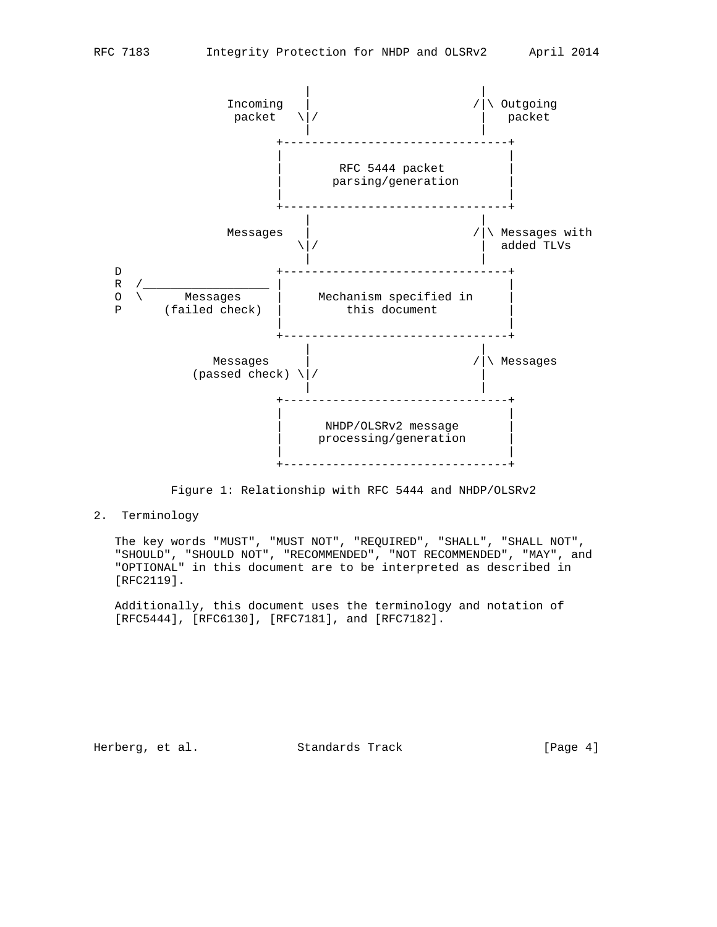

Figure 1: Relationship with RFC 5444 and NHDP/OLSRv2

2. Terminology

 The key words "MUST", "MUST NOT", "REQUIRED", "SHALL", "SHALL NOT", "SHOULD", "SHOULD NOT", "RECOMMENDED", "NOT RECOMMENDED", "MAY", and "OPTIONAL" in this document are to be interpreted as described in [RFC2119].

 Additionally, this document uses the terminology and notation of [RFC5444], [RFC6130], [RFC7181], and [RFC7182].

Herberg, et al. Standards Track [Page 4]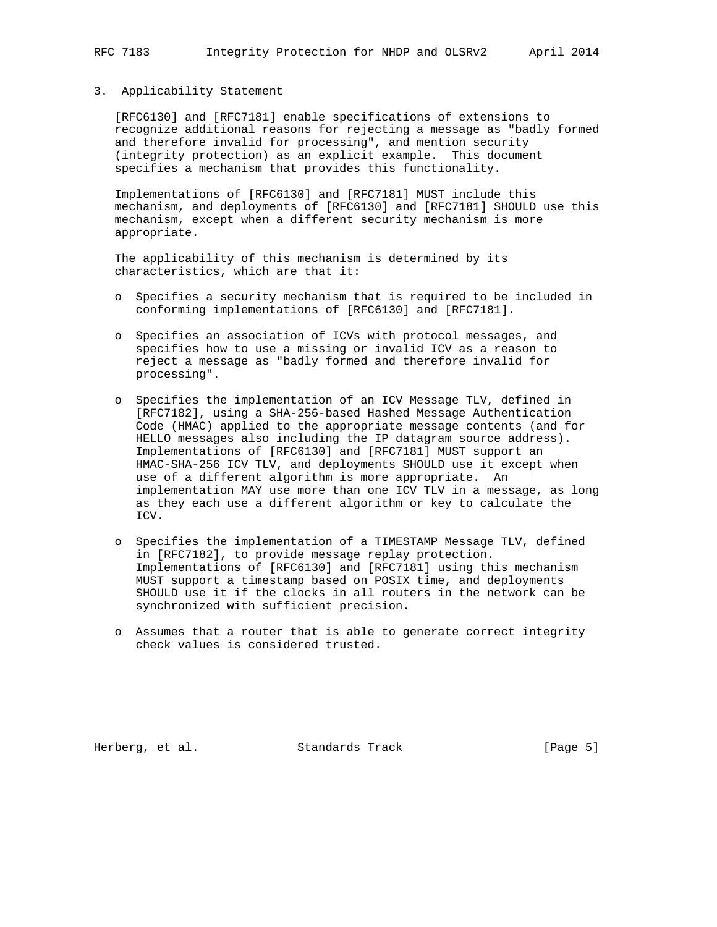### 3. Applicability Statement

 [RFC6130] and [RFC7181] enable specifications of extensions to recognize additional reasons for rejecting a message as "badly formed and therefore invalid for processing", and mention security (integrity protection) as an explicit example. This document specifies a mechanism that provides this functionality.

 Implementations of [RFC6130] and [RFC7181] MUST include this mechanism, and deployments of [RFC6130] and [RFC7181] SHOULD use this mechanism, except when a different security mechanism is more appropriate.

 The applicability of this mechanism is determined by its characteristics, which are that it:

- o Specifies a security mechanism that is required to be included in conforming implementations of [RFC6130] and [RFC7181].
- o Specifies an association of ICVs with protocol messages, and specifies how to use a missing or invalid ICV as a reason to reject a message as "badly formed and therefore invalid for processing".
- o Specifies the implementation of an ICV Message TLV, defined in [RFC7182], using a SHA-256-based Hashed Message Authentication Code (HMAC) applied to the appropriate message contents (and for HELLO messages also including the IP datagram source address). Implementations of [RFC6130] and [RFC7181] MUST support an HMAC-SHA-256 ICV TLV, and deployments SHOULD use it except when use of a different algorithm is more appropriate. An implementation MAY use more than one ICV TLV in a message, as long as they each use a different algorithm or key to calculate the ICV.
- o Specifies the implementation of a TIMESTAMP Message TLV, defined in [RFC7182], to provide message replay protection. Implementations of [RFC6130] and [RFC7181] using this mechanism MUST support a timestamp based on POSIX time, and deployments SHOULD use it if the clocks in all routers in the network can be synchronized with sufficient precision.
- o Assumes that a router that is able to generate correct integrity check values is considered trusted.

Herberg, et al. Standards Track [Page 5]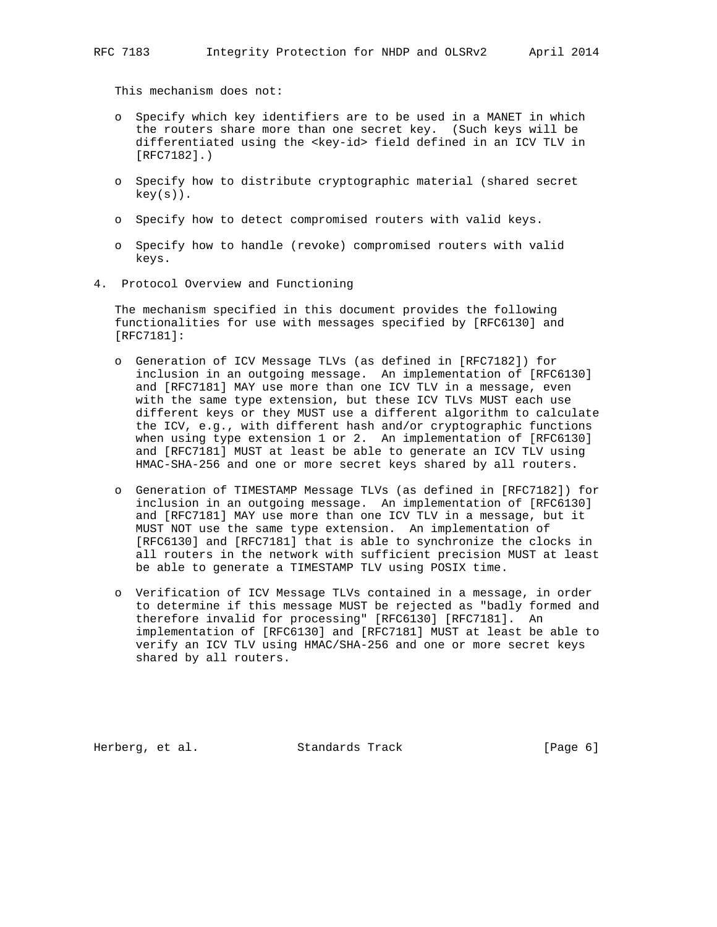This mechanism does not:

- o Specify which key identifiers are to be used in a MANET in which the routers share more than one secret key. (Such keys will be differentiated using the <key-id> field defined in an ICV TLV in [RFC7182].)
- o Specify how to distribute cryptographic material (shared secret  $key(s)$ .
- o Specify how to detect compromised routers with valid keys.
- o Specify how to handle (revoke) compromised routers with valid keys.
- 4. Protocol Overview and Functioning

 The mechanism specified in this document provides the following functionalities for use with messages specified by [RFC6130] and [RFC7181]:

- o Generation of ICV Message TLVs (as defined in [RFC7182]) for inclusion in an outgoing message. An implementation of [RFC6130] and [RFC7181] MAY use more than one ICV TLV in a message, even with the same type extension, but these ICV TLVs MUST each use different keys or they MUST use a different algorithm to calculate the ICV, e.g., with different hash and/or cryptographic functions when using type extension 1 or 2. An implementation of [RFC6130] and [RFC7181] MUST at least be able to generate an ICV TLV using HMAC-SHA-256 and one or more secret keys shared by all routers.
- o Generation of TIMESTAMP Message TLVs (as defined in [RFC7182]) for inclusion in an outgoing message. An implementation of [RFC6130] and [RFC7181] MAY use more than one ICV TLV in a message, but it MUST NOT use the same type extension. An implementation of [RFC6130] and [RFC7181] that is able to synchronize the clocks in all routers in the network with sufficient precision MUST at least be able to generate a TIMESTAMP TLV using POSIX time.
- o Verification of ICV Message TLVs contained in a message, in order to determine if this message MUST be rejected as "badly formed and therefore invalid for processing" [RFC6130] [RFC7181]. An implementation of [RFC6130] and [RFC7181] MUST at least be able to verify an ICV TLV using HMAC/SHA-256 and one or more secret keys shared by all routers.

Herberg, et al. Standards Track [Page 6]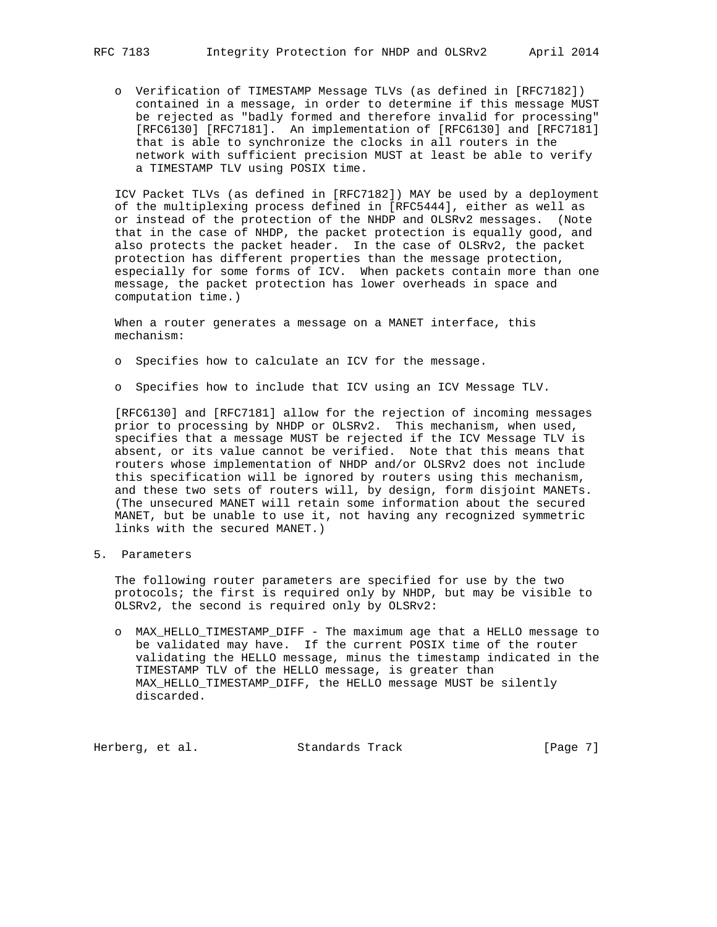o Verification of TIMESTAMP Message TLVs (as defined in [RFC7182]) contained in a message, in order to determine if this message MUST be rejected as "badly formed and therefore invalid for processing" [RFC6130] [RFC7181]. An implementation of [RFC6130] and [RFC7181] that is able to synchronize the clocks in all routers in the network with sufficient precision MUST at least be able to verify a TIMESTAMP TLV using POSIX time.

 ICV Packet TLVs (as defined in [RFC7182]) MAY be used by a deployment of the multiplexing process defined in [RFC5444], either as well as or instead of the protection of the NHDP and OLSRv2 messages. (Note that in the case of NHDP, the packet protection is equally good, and also protects the packet header. In the case of OLSRv2, the packet protection has different properties than the message protection, especially for some forms of ICV. When packets contain more than one message, the packet protection has lower overheads in space and computation time.)

 When a router generates a message on a MANET interface, this mechanism:

- o Specifies how to calculate an ICV for the message.
- o Specifies how to include that ICV using an ICV Message TLV.

 [RFC6130] and [RFC7181] allow for the rejection of incoming messages prior to processing by NHDP or OLSRv2. This mechanism, when used, specifies that a message MUST be rejected if the ICV Message TLV is absent, or its value cannot be verified. Note that this means that routers whose implementation of NHDP and/or OLSRv2 does not include this specification will be ignored by routers using this mechanism, and these two sets of routers will, by design, form disjoint MANETs. (The unsecured MANET will retain some information about the secured MANET, but be unable to use it, not having any recognized symmetric links with the secured MANET.)

5. Parameters

 The following router parameters are specified for use by the two protocols; the first is required only by NHDP, but may be visible to OLSRv2, the second is required only by OLSRv2:

 o MAX\_HELLO\_TIMESTAMP\_DIFF - The maximum age that a HELLO message to be validated may have. If the current POSIX time of the router validating the HELLO message, minus the timestamp indicated in the TIMESTAMP TLV of the HELLO message, is greater than MAX\_HELLO\_TIMESTAMP\_DIFF, the HELLO message MUST be silently discarded.

Herberg, et al. Standards Track [Page 7]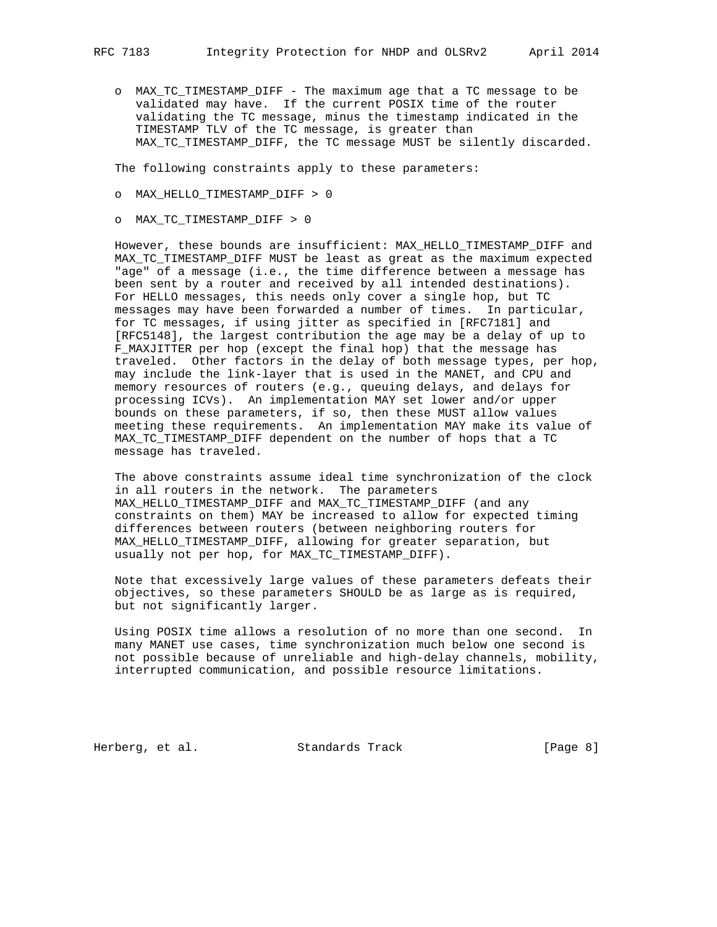o MAX\_TC\_TIMESTAMP\_DIFF - The maximum age that a TC message to be validated may have. If the current POSIX time of the router validating the TC message, minus the timestamp indicated in the TIMESTAMP TLV of the TC message, is greater than MAX\_TC\_TIMESTAMP\_DIFF, the TC message MUST be silently discarded.

The following constraints apply to these parameters:

- o MAX\_HELLO\_TIMESTAMP\_DIFF > 0
- o MAX\_TC\_TIMESTAMP\_DIFF > 0

 However, these bounds are insufficient: MAX\_HELLO\_TIMESTAMP\_DIFF and MAX\_TC\_TIMESTAMP\_DIFF MUST be least as great as the maximum expected "age" of a message (i.e., the time difference between a message has been sent by a router and received by all intended destinations). For HELLO messages, this needs only cover a single hop, but TC messages may have been forwarded a number of times. In particular, for TC messages, if using jitter as specified in [RFC7181] and [RFC5148], the largest contribution the age may be a delay of up to F\_MAXJITTER per hop (except the final hop) that the message has traveled. Other factors in the delay of both message types, per hop, may include the link-layer that is used in the MANET, and CPU and memory resources of routers (e.g., queuing delays, and delays for processing ICVs). An implementation MAY set lower and/or upper bounds on these parameters, if so, then these MUST allow values meeting these requirements. An implementation MAY make its value of MAX\_TC\_TIMESTAMP\_DIFF dependent on the number of hops that a TC message has traveled.

 The above constraints assume ideal time synchronization of the clock in all routers in the network. The parameters MAX\_HELLO\_TIMESTAMP\_DIFF and MAX\_TC\_TIMESTAMP\_DIFF (and any constraints on them) MAY be increased to allow for expected timing differences between routers (between neighboring routers for MAX\_HELLO\_TIMESTAMP\_DIFF, allowing for greater separation, but usually not per hop, for MAX\_TC\_TIMESTAMP\_DIFF).

 Note that excessively large values of these parameters defeats their objectives, so these parameters SHOULD be as large as is required, but not significantly larger.

 Using POSIX time allows a resolution of no more than one second. In many MANET use cases, time synchronization much below one second is not possible because of unreliable and high-delay channels, mobility, interrupted communication, and possible resource limitations.

Herberg, et al. Standards Track [Page 8]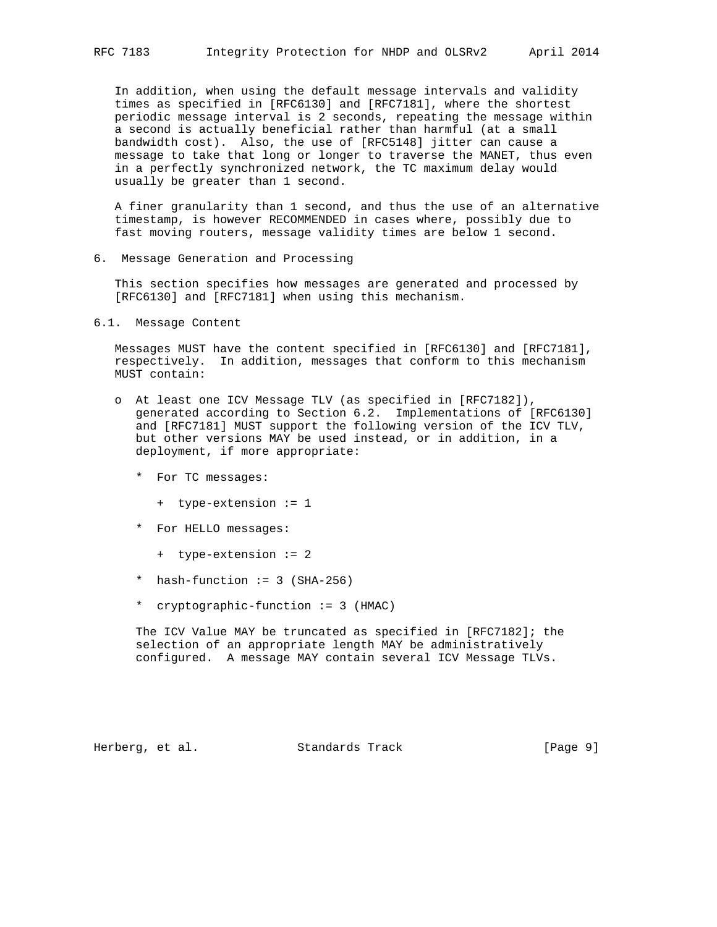In addition, when using the default message intervals and validity times as specified in [RFC6130] and [RFC7181], where the shortest periodic message interval is 2 seconds, repeating the message within a second is actually beneficial rather than harmful (at a small bandwidth cost). Also, the use of [RFC5148] jitter can cause a message to take that long or longer to traverse the MANET, thus even in a perfectly synchronized network, the TC maximum delay would usually be greater than 1 second.

 A finer granularity than 1 second, and thus the use of an alternative timestamp, is however RECOMMENDED in cases where, possibly due to fast moving routers, message validity times are below 1 second.

6. Message Generation and Processing

 This section specifies how messages are generated and processed by [RFC6130] and [RFC7181] when using this mechanism.

6.1. Message Content

 Messages MUST have the content specified in [RFC6130] and [RFC7181], respectively. In addition, messages that conform to this mechanism MUST contain:

- o At least one ICV Message TLV (as specified in [RFC7182]), generated according to Section 6.2. Implementations of [RFC6130] and [RFC7181] MUST support the following version of the ICV TLV, but other versions MAY be used instead, or in addition, in a deployment, if more appropriate:
	- \* For TC messages:
		- + type-extension := 1
	- \* For HELLO messages:
		- + type-extension := 2
	- \* hash-function := 3 (SHA-256)
	- \* cryptographic-function := 3 (HMAC)

 The ICV Value MAY be truncated as specified in [RFC7182]; the selection of an appropriate length MAY be administratively configured. A message MAY contain several ICV Message TLVs.

Herberg, et al. Standards Track [Page 9]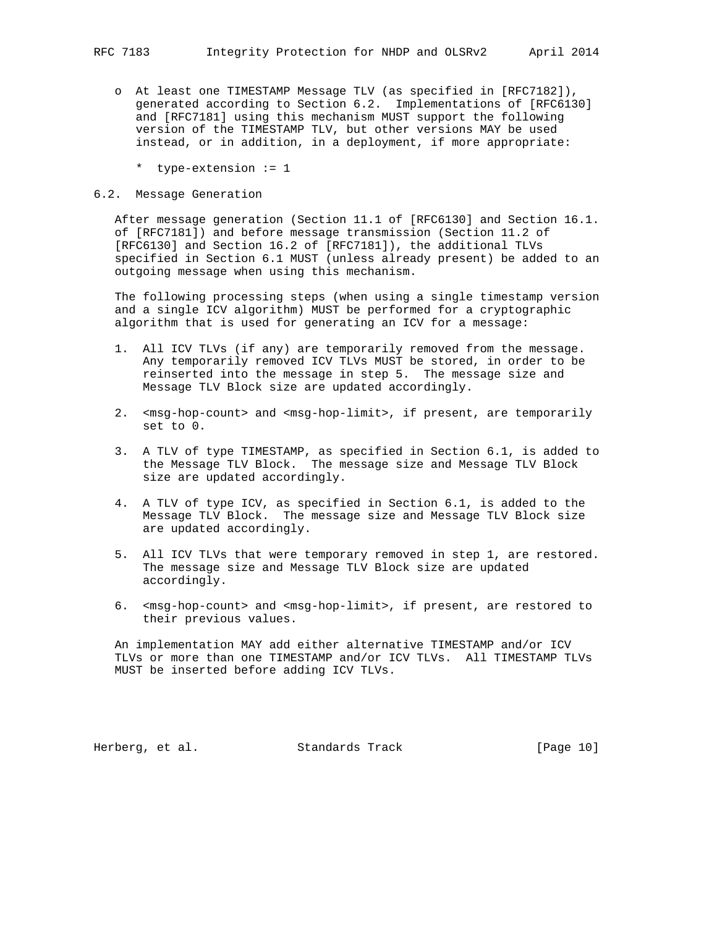- o At least one TIMESTAMP Message TLV (as specified in [RFC7182]), generated according to Section 6.2. Implementations of [RFC6130] and [RFC7181] using this mechanism MUST support the following version of the TIMESTAMP TLV, but other versions MAY be used instead, or in addition, in a deployment, if more appropriate:
	- \* type-extension := 1

# 6.2. Message Generation

 After message generation (Section 11.1 of [RFC6130] and Section 16.1. of [RFC7181]) and before message transmission (Section 11.2 of [RFC6130] and Section 16.2 of [RFC7181]), the additional TLVs specified in Section 6.1 MUST (unless already present) be added to an outgoing message when using this mechanism.

 The following processing steps (when using a single timestamp version and a single ICV algorithm) MUST be performed for a cryptographic algorithm that is used for generating an ICV for a message:

- 1. All ICV TLVs (if any) are temporarily removed from the message. Any temporarily removed ICV TLVs MUST be stored, in order to be reinserted into the message in step 5. The message size and Message TLV Block size are updated accordingly.
- 2. <msg-hop-count> and <msg-hop-limit>, if present, are temporarily set to 0.
- 3. A TLV of type TIMESTAMP, as specified in Section 6.1, is added to the Message TLV Block. The message size and Message TLV Block size are updated accordingly.
- 4. A TLV of type ICV, as specified in Section 6.1, is added to the Message TLV Block. The message size and Message TLV Block size are updated accordingly.
- 5. All ICV TLVs that were temporary removed in step 1, are restored. The message size and Message TLV Block size are updated accordingly.
- 6. <msg-hop-count> and <msg-hop-limit>, if present, are restored to their previous values.

 An implementation MAY add either alternative TIMESTAMP and/or ICV TLVs or more than one TIMESTAMP and/or ICV TLVs. All TIMESTAMP TLVs MUST be inserted before adding ICV TLVs.

Herberg, et al. Standards Track [Page 10]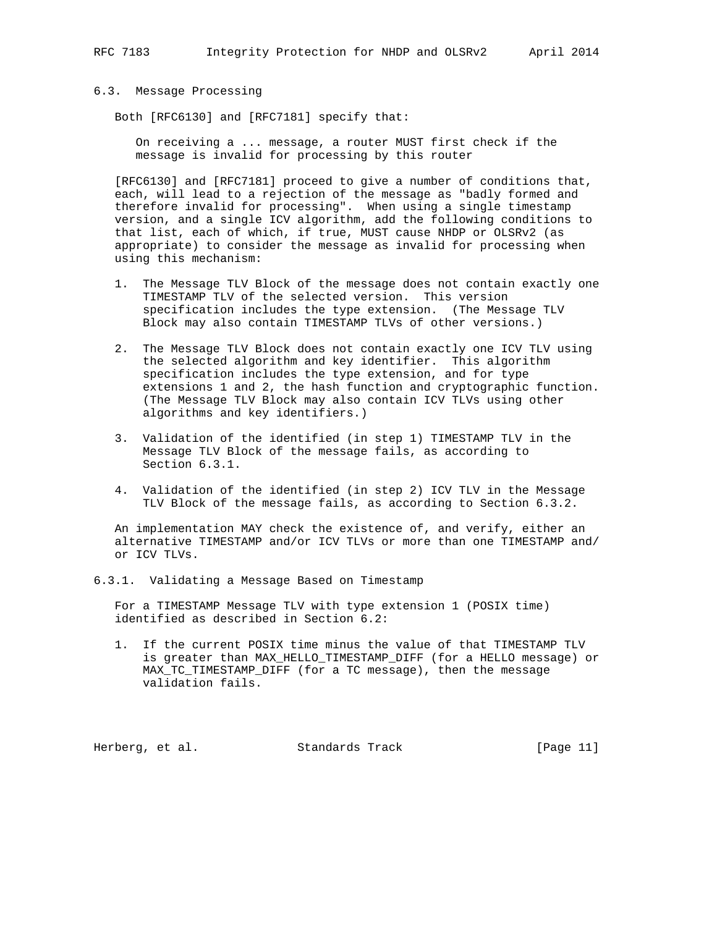### 6.3. Message Processing

Both [RFC6130] and [RFC7181] specify that:

 On receiving a ... message, a router MUST first check if the message is invalid for processing by this router

 [RFC6130] and [RFC7181] proceed to give a number of conditions that, each, will lead to a rejection of the message as "badly formed and therefore invalid for processing". When using a single timestamp version, and a single ICV algorithm, add the following conditions to that list, each of which, if true, MUST cause NHDP or OLSRv2 (as appropriate) to consider the message as invalid for processing when using this mechanism:

- 1. The Message TLV Block of the message does not contain exactly one TIMESTAMP TLV of the selected version. This version specification includes the type extension. (The Message TLV Block may also contain TIMESTAMP TLVs of other versions.)
- 2. The Message TLV Block does not contain exactly one ICV TLV using the selected algorithm and key identifier. This algorithm specification includes the type extension, and for type extensions 1 and 2, the hash function and cryptographic function. (The Message TLV Block may also contain ICV TLVs using other algorithms and key identifiers.)
- 3. Validation of the identified (in step 1) TIMESTAMP TLV in the Message TLV Block of the message fails, as according to Section 6.3.1.
- 4. Validation of the identified (in step 2) ICV TLV in the Message TLV Block of the message fails, as according to Section 6.3.2.

 An implementation MAY check the existence of, and verify, either an alternative TIMESTAMP and/or ICV TLVs or more than one TIMESTAMP and/ or ICV TLVs.

6.3.1. Validating a Message Based on Timestamp

 For a TIMESTAMP Message TLV with type extension 1 (POSIX time) identified as described in Section 6.2:

 1. If the current POSIX time minus the value of that TIMESTAMP TLV is greater than MAX\_HELLO\_TIMESTAMP\_DIFF (for a HELLO message) or MAX\_TC\_TIMESTAMP\_DIFF (for a TC message), then the message validation fails.

Herberg, et al. Standards Track [Page 11]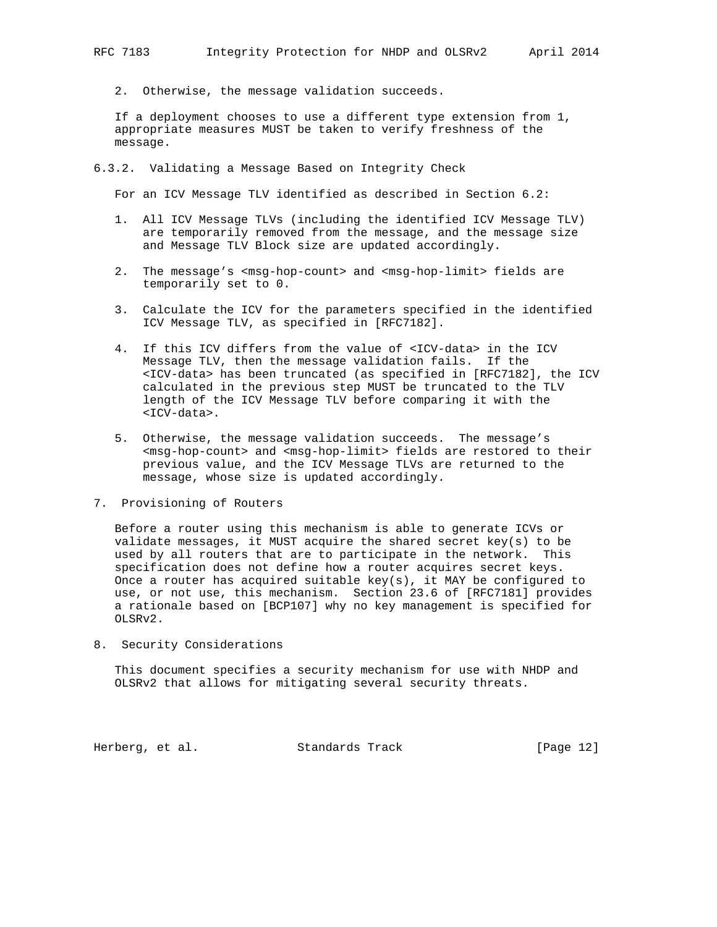2. Otherwise, the message validation succeeds.

 If a deployment chooses to use a different type extension from 1, appropriate measures MUST be taken to verify freshness of the message.

6.3.2. Validating a Message Based on Integrity Check

For an ICV Message TLV identified as described in Section 6.2:

- 1. All ICV Message TLVs (including the identified ICV Message TLV) are temporarily removed from the message, and the message size and Message TLV Block size are updated accordingly.
- 2. The message's <msg-hop-count> and <msg-hop-limit> fields are temporarily set to 0.
- 3. Calculate the ICV for the parameters specified in the identified ICV Message TLV, as specified in [RFC7182].
- 4. If this ICV differs from the value of <ICV-data> in the ICV Message TLV, then the message validation fails. If the <ICV-data> has been truncated (as specified in [RFC7182], the ICV calculated in the previous step MUST be truncated to the TLV length of the ICV Message TLV before comparing it with the <ICV-data>.
- 5. Otherwise, the message validation succeeds. The message's <msg-hop-count> and <msg-hop-limit> fields are restored to their previous value, and the ICV Message TLVs are returned to the message, whose size is updated accordingly.
- 7. Provisioning of Routers

 Before a router using this mechanism is able to generate ICVs or validate messages, it MUST acquire the shared secret key(s) to be used by all routers that are to participate in the network. This specification does not define how a router acquires secret keys. Once a router has acquired suitable key(s), it MAY be configured to use, or not use, this mechanism. Section 23.6 of [RFC7181] provides a rationale based on [BCP107] why no key management is specified for OLSRv2.

8. Security Considerations

 This document specifies a security mechanism for use with NHDP and OLSRv2 that allows for mitigating several security threats.

Herberg, et al. Standards Track [Page 12]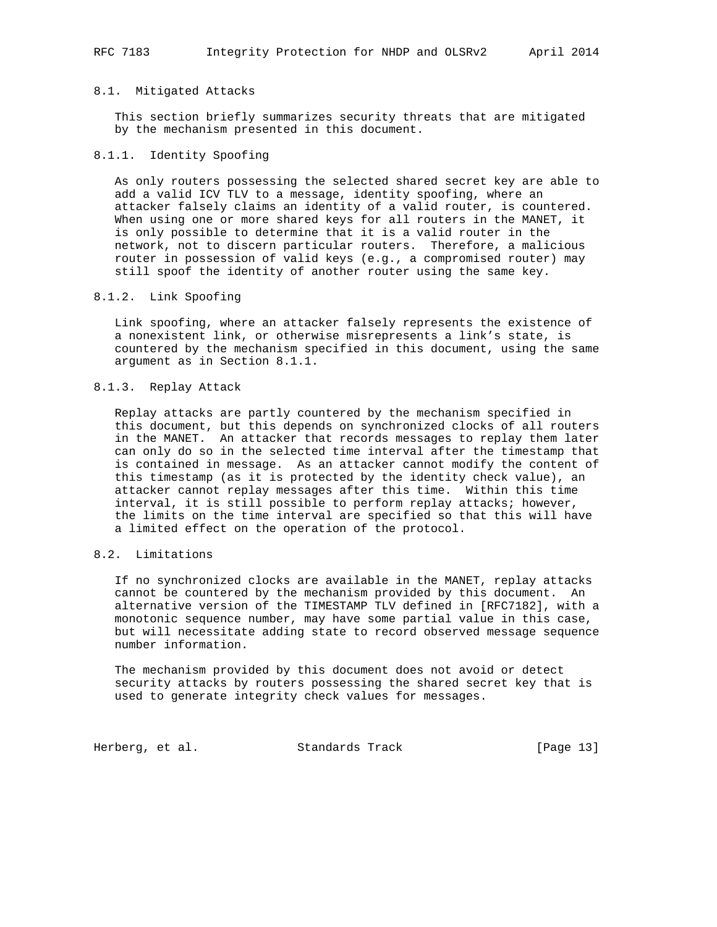RFC 7183 Integrity Protection for NHDP and OLSRv2 April 2014

#### 8.1. Mitigated Attacks

 This section briefly summarizes security threats that are mitigated by the mechanism presented in this document.

# 8.1.1. Identity Spoofing

 As only routers possessing the selected shared secret key are able to add a valid ICV TLV to a message, identity spoofing, where an attacker falsely claims an identity of a valid router, is countered. When using one or more shared keys for all routers in the MANET, it is only possible to determine that it is a valid router in the network, not to discern particular routers. Therefore, a malicious router in possession of valid keys (e.g., a compromised router) may still spoof the identity of another router using the same key.

## 8.1.2. Link Spoofing

 Link spoofing, where an attacker falsely represents the existence of a nonexistent link, or otherwise misrepresents a link's state, is countered by the mechanism specified in this document, using the same argument as in Section 8.1.1.

# 8.1.3. Replay Attack

 Replay attacks are partly countered by the mechanism specified in this document, but this depends on synchronized clocks of all routers in the MANET. An attacker that records messages to replay them later can only do so in the selected time interval after the timestamp that is contained in message. As an attacker cannot modify the content of this timestamp (as it is protected by the identity check value), an attacker cannot replay messages after this time. Within this time interval, it is still possible to perform replay attacks; however, the limits on the time interval are specified so that this will have a limited effect on the operation of the protocol.

# 8.2. Limitations

 If no synchronized clocks are available in the MANET, replay attacks cannot be countered by the mechanism provided by this document. An alternative version of the TIMESTAMP TLV defined in [RFC7182], with a monotonic sequence number, may have some partial value in this case, but will necessitate adding state to record observed message sequence number information.

 The mechanism provided by this document does not avoid or detect security attacks by routers possessing the shared secret key that is used to generate integrity check values for messages.

Herberg, et al. Standards Track [Page 13]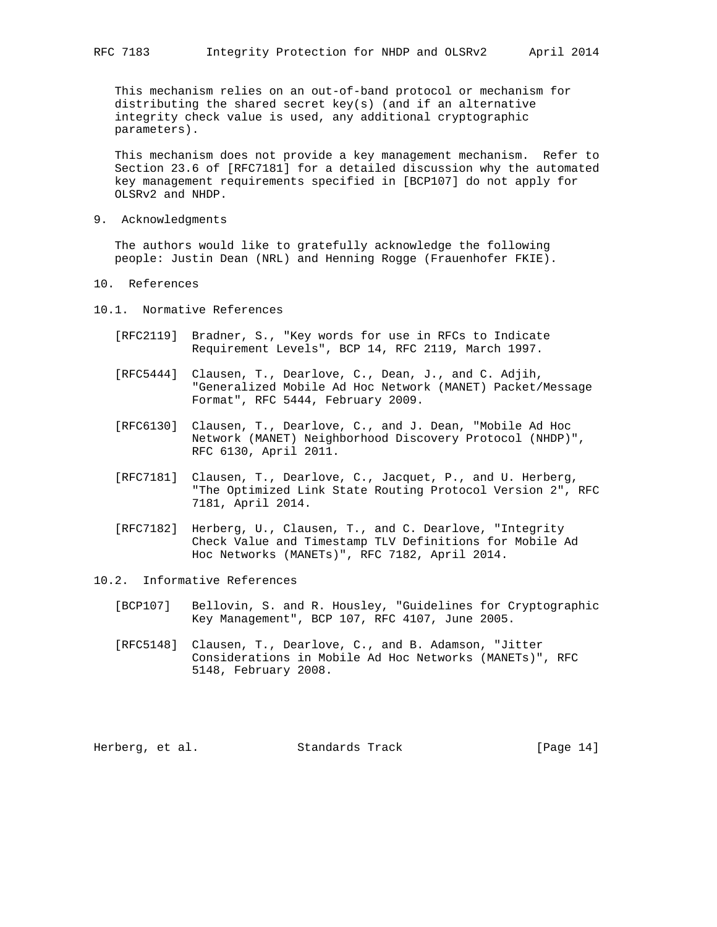This mechanism relies on an out-of-band protocol or mechanism for distributing the shared secret key(s) (and if an alternative integrity check value is used, any additional cryptographic parameters).

This mechanism does not provide a key management mechanism. Refer to Section 23.6 of [RFC7181] for a detailed discussion why the automated key management requirements specified in [BCP107] do not apply for OLSRv2 and NHDP.

9. Acknowledgments

 The authors would like to gratefully acknowledge the following people: Justin Dean (NRL) and Henning Rogge (Frauenhofer FKIE).

- 10. References
- 10.1. Normative References
	- [RFC2119] Bradner, S., "Key words for use in RFCs to Indicate Requirement Levels", BCP 14, RFC 2119, March 1997.
	- [RFC5444] Clausen, T., Dearlove, C., Dean, J., and C. Adjih, "Generalized Mobile Ad Hoc Network (MANET) Packet/Message Format", RFC 5444, February 2009.
	- [RFC6130] Clausen, T., Dearlove, C., and J. Dean, "Mobile Ad Hoc Network (MANET) Neighborhood Discovery Protocol (NHDP)", RFC 6130, April 2011.
	- [RFC7181] Clausen, T., Dearlove, C., Jacquet, P., and U. Herberg, "The Optimized Link State Routing Protocol Version 2", RFC 7181, April 2014.
	- [RFC7182] Herberg, U., Clausen, T., and C. Dearlove, "Integrity Check Value and Timestamp TLV Definitions for Mobile Ad Hoc Networks (MANETs)", RFC 7182, April 2014.
- 10.2. Informative References
	- [BCP107] Bellovin, S. and R. Housley, "Guidelines for Cryptographic Key Management", BCP 107, RFC 4107, June 2005.
	- [RFC5148] Clausen, T., Dearlove, C., and B. Adamson, "Jitter Considerations in Mobile Ad Hoc Networks (MANETs)", RFC 5148, February 2008.

Herberg, et al. Standards Track [Page 14]